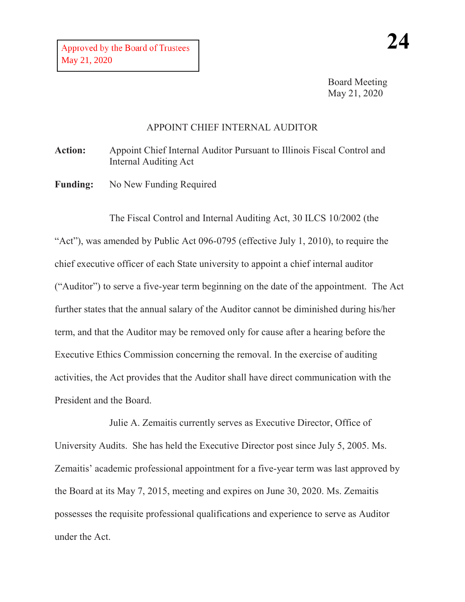Board Meeting May 21, 2020

## APPOINT CHIEF INTERNAL AUDITOR

**Action:** Appoint Chief Internal Auditor Pursuant to Illinois Fiscal Control and Internal Auditing Act

Funding: No New Funding Required

The Fiscal Control and Internal Auditing Act, 30 ILCS 10/2002 (the "Act"), was amended by Public Act 096-0795 (effective July 1, 2010), to require the chief executive officer of each State university to appoint a chief internal auditor ("Auditor") to serve a five-year term beginning on the date of the appointment. The Act further states that the annual salary of the Auditor cannot be diminished during his/her term, and that the Auditor may be removed only for cause after a hearing before the Executive Ethics Commission concerning the removal. In the exercise of auditing activities, the Act provides that the Auditor shall have direct communication with the President and the Board.

Julie A. Zemaitis currently serves as Executive Director, Office of University Audits. She has held the Executive Director post since July 5, 2005. Ms. Zemaitis' academic professional appointment for a five-year term was last approved by the Board at its May 7, 2015, meeting and expires on June 30, 2020. Ms. Zemaitis possesses the requisite professional qualifications and experience to serve as Auditor under the Act.